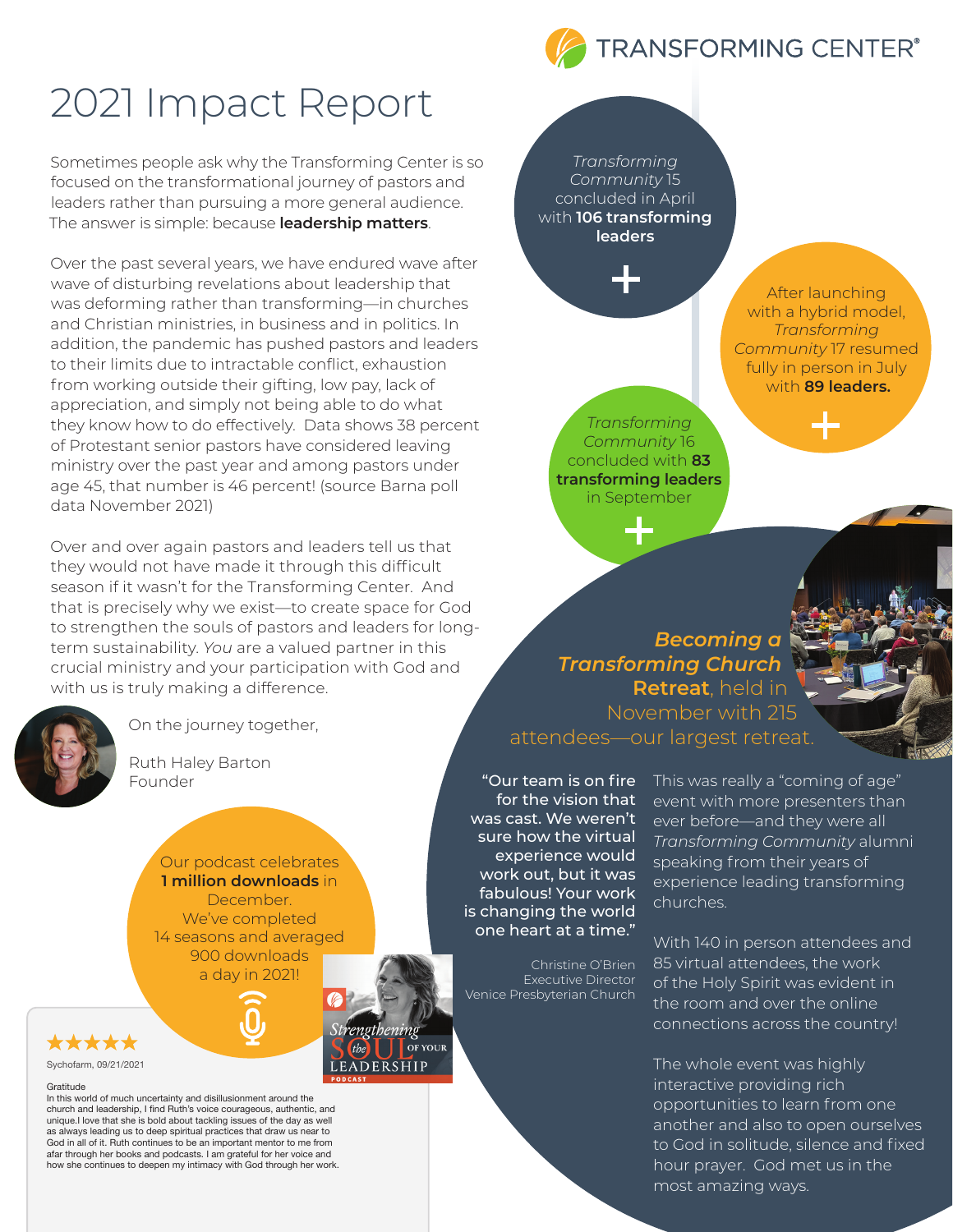# 2021 Impact Report

Sometimes people ask why the Transforming Center is so focused on the transformational journey of pastors and leaders rather than pursuing a more general audience. The answer is simple: because **leadership matters**.

Over the past several years, we have endured wave after wave of disturbing revelations about leadership that was deforming rather than transforming—in churches and Christian ministries, in business and in politics. In addition, the pandemic has pushed pastors and leaders to their limits due to intractable conflict, exhaustion from working outside their gifting, low pay, lack of appreciation, and simply not being able to do what they know how to do effectively. Data shows 38 percent of Protestant senior pastors have considered leaving ministry over the past year and among pastors under age 45, that number is 46 percent! (source Barna poll data November 2021)

Over and over again pastors and leaders tell us that they would not have made it through this difficult season if it wasn't for the Transforming Center. And that is precisely why we exist—to create space for God to strengthen the souls of pastors and leaders for longterm sustainability. *You* are a valued partner in this crucial ministry and your participation with God and with us is truly making a difference.



On the journey together,

Ruth Haley Barton Founder

> Our podcast celebrates **1 million downloads** in December. We've completed 14 seasons and averaged 900 downloads a day in 2021!



#### Gratitude

In this world of much uncertainty and disillusionment around the church and leadership, I find Ruth's voice courageous, authentic, and unique.I love that she is bold about tackling issues of the day as well as always leading us to deep spiritual practices that draw us near to God in all of it. Ruth continues to be an important mentor to me from afar through her books and podcasts. I am grateful for her voice and how she continues to deepen my intimacy with God through her work.

*Transforming Community* 15 concluded in April with **106 transforming leaders** 



After launching with a hybrid model, *Transforming Community* 17 resumed fully in person in July with **89 leaders.**

*Transforming Community* 16 concluded with **83 transforming leaders** in September

*Becoming a Transforming Church* **Retreat**, held in November with 215 attendees—our largest retreat.

for the vision that was cast. We weren't sure how the virtual experience would work out, but it was fabulous! Your work is changing the world one heart at a time."

Christine O'Brien Executive Director Venice Presbyterian Church

**OF YOUR** 

**FRSHIP** 

"Our team is on fire This was really a "coming of age" event with more presenters than ever before—and they were all *Transforming Community* alumni speaking from their years of experience leading transforming churches.

> With 140 in person attendees and 85 virtual attendees, the work of the Holy Spirit was evident in the room and over the online connections across the country!

The whole event was highly interactive providing rich opportunities to learn from one another and also to open ourselves to God in solitude, silence and fixed hour prayer. God met us in the most amazing ways.

#### **TRANSFORMING CENTER®**